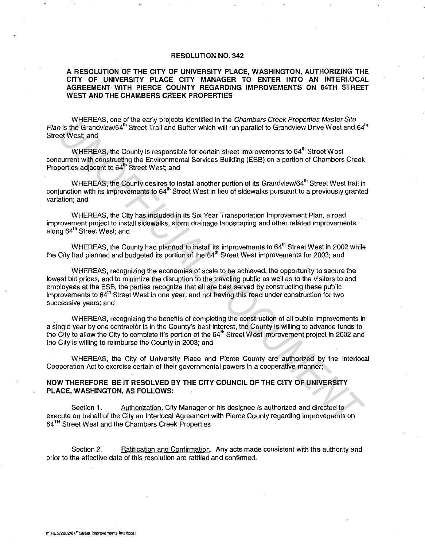## **RESOLUTION NO. 342**

## **A RESOLUTION OF THE CITY OF UNIVERSITY PLACE, WASHINGTON, AUTHORIZING THE CITY OF UNIVERSITY PLACE CITY MANAGER TO ENTER INTO AN INTERLOCAL AGREEMENT WITH PIERCE COUNTY REGARDING IMPROVEMENTS ON 64TH STREET WEST AND THE CHAMBERS CREEK PROPERTIES**

WHEREAS, one of the early projects identified in the Chambers Creek Properties Master Site Plan is the Grandview/64<sup>th</sup> Street Trail and Buffer which will run parallel to Grandview Drive West and 64<sup>th</sup> Street West; and

WHEREAS, the County is responsible for certain street improvements to  $64<sup>th</sup>$  Street West concurrent with constructing the Environmental Services Building (ESB) on a portion of Chambers Creek Properties adjacent to 64<sup>th</sup> Street West; and

WHEREAS, the County desires to install another portion of its Grandview/64<sup>th</sup> Street West trail in conjunction with its improvements to 64<sup>th</sup> Street West in lieu of sidewalks pursuant to a previously granted variation; and

WHEREAS, the City has included in its Six Year Transportation Improvement Plan, a road improvement project to install sidewalks, storm drainage landscaping and other related improvements along 64<sup>th</sup> Street West; and

WHEREAS, the County had planned to install its improvements to 64<sup>th</sup> Street West in 2002 while the City had planned and budgeted its portion of the 64<sup>th</sup> Street West improvements for 2003; and

WHEREAS, recognizing the economies of scale to be achieved, the opportunity to secure the lowest bid prices, and to minimize the disruption to the traveling public as well as to the visitors to and employees at the ESB, the parties recognize that all are best served by constructing these public improvements to 64<sup>th</sup> Street West in one year, and not having this road under construction for two successive years; and **WHEREAS, the Granty projects the first of the Charlest Creek Properties Matis (2018)<br>
The Grandview/84<sup>8</sup> Street That individualities which may characted to Grandview Drive West and 64<br>
Where The Candy with the Country is** 

WHEREAS, recognizing the benefits of completing the construction of all public improvements in a single year by one contractor is in the County's best interest, the County is willing to advance funds to the City to allow the City to complete it's portion of the 64<sup>th</sup> Street West improvement project in 2002 and the City is willing to reimburse the County in 2003; and

WHEREAS, the City of University Place and Pierce County are authorized by the lnterlocal Cooperation Act to exercise certain of their governmental powers in a cooperative manner;

## **NOW THEREFORE BE IT RESOLVED BY THE CITY COUNCIL OF THE CITY OF UNIVERSITY PLACE, WASHINGTON, AS FOLLOWS:**

Section 1. Authorization. City Manager or his designee is authorized and directed to execute on behalf of the City an lnterlocal Agreement with Pierce County regarding improvements on 64 TH Street West and the Chambers Creek Properties

Section 2. Ratification and Confirmation. Any acts made consistent with the authority and prior to the effective date of this resolution are ratified and confirmed.